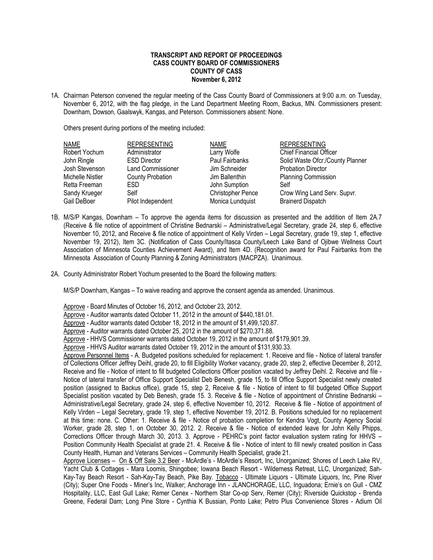## **TRANSCRIPT AND REPORT OF PROCEEDINGS CASS COUNTY BOARD OF COMMISSIONERS COUNTY OF CASS November 6, 2012**

1A. Chairman Peterson convened the regular meeting of the Cass County Board of Commissioners at 9:00 a.m. on Tuesday, November 6, 2012, with the flag pledge, in the Land Department Meeting Room, Backus, MN. Commissioners present: Downham, Dowson, Gaalswyk, Kangas, and Peterson. Commissioners absent: None.

Others present during portions of the meeting included:

| <b>NAME</b>      | <b>REPRESENTING</b>      | <b>NAME</b>              | <b>REPRESENTING</b>              |
|------------------|--------------------------|--------------------------|----------------------------------|
| Robert Yochum    | Administrator            | Larry Wolfe              | <b>Chief Financial Officer</b>   |
| John Ringle      | <b>ESD Director</b>      | Paul Fairbanks           | Solid Waste Ofcr./County Planner |
| Josh Stevenson   | <b>Land Commissioner</b> | Jim Schneider            | <b>Probation Director</b>        |
| Michelle Nistler | <b>County Probation</b>  | Jim Ballenthin           | <b>Planning Commission</b>       |
| Retta Freeman    | ESD.                     | John Sumption            | Self                             |
| Sandy Krueger    | Self                     | <b>Christopher Pence</b> | Crow Wing Land Serv. Supvr.      |
| Gail DeBoer      | Pilot Independent        | Monica Lundquist         | <b>Brainerd Dispatch</b>         |

- 1B. M/S/P Kangas, Downham To approve the agenda items for discussion as presented and the addition of Item 2A.7 (Receive & file notice of appointment of Christine Bednarski – Administrative/Legal Secretary, grade 24, step 6, effective November 10, 2012, and Receive & file notice of appointment of Kelly Virden – Legal Secretary, grade 19, step 1, effective November 19, 2012), Item 3C. (Notification of Cass County/Itasca County/Leech Lake Band of Ojibwe Wellness Court Association of Minnesota Counties Achievement Award), and Item 4D. (Recognition award for Paul Fairbanks from the Minnesota Association of County Planning & Zoning Administrators (MACPZA). Unanimous.
- 2A. County Administrator Robert Yochum presented to the Board the following matters:

M/S/P Downham, Kangas – To waive reading and approve the consent agenda as amended. Unanimous.

Approve - Board Minutes of October 16, 2012, and October 23, 2012.

Approve - Auditor warrants dated October 11, 2012 in the amount of \$440,181.01.

Approve - Auditor warrants dated October 18, 2012 in the amount of \$1,499,120.87.

Approve - Auditor warrants dated October 25, 2012 in the amount of \$270,371.88.

Approve - HHVS Commissioner warrants dated October 19, 2012 in the amount of \$179,901.39.

Approve - HHVS Auditor warrants dated October 19, 2012 in the amount of \$131,930.33.

Approve Personnel Items - A. Budgeted positions scheduled for replacement: 1. Receive and file - Notice of lateral transfer of Collections Officer Jeffrey Deihl, grade 20, to fill Eligibility Worker vacancy, grade 20, step 2, effective December 8, 2012, Receive and file - Notice of intent to fill budgeted Collections Officer position vacated by Jeffrey Deihl. 2. Receive and file - Notice of lateral transfer of Office Support Specialist Deb Benesh, grade 15, to fill Office Support Specialist newly created position (assigned to Backus office), grade 15, step 2, Receive & file - Notice of intent to fill budgeted Office Support Specialist position vacated by Deb Benesh, grade 15. 3. Receive & file - Notice of appointment of Christine Bednarski – Administrative/Legal Secretary, grade 24, step 6, effective November 10, 2012. Receive & file - Notice of appointment of Kelly Virden – Legal Secretary, grade 19, step 1, effective November 19, 2012. B. Positions scheduled for no replacement at this time: none. C. Other: 1. Receive & file - Notice of probation completion for Kendra Vogt, County Agency Social Worker, grade 28, step 1, on October 30, 2012. 2. Receive & file - Notice of extended leave for John Kelly Phipps, Corrections Officer through March 30, 2013. 3. Approve - PEHRC's point factor evaluation system rating for HHVS – Position Community Health Specialist at grade 21, 4. Receive & file - Notice of intent to fill newly created position in Cass County Health, Human and Veterans Services – Community Health Specialist, grade 21.

Approve Licenses – On & Off Sale 3.2 Beer - McArdle's - McArdle's Resort, Inc, Unorganized; Shores of Leech Lake RV, Yacht Club & Cottages - Mara Loomis, Shingobee; Iowana Beach Resort - Wilderness Retreat, LLC, Unorganized; Sah-Kay-Tay Beach Resort - Sah-Kay-Tay Beach, Pike Bay. Tobacco - Ultimate Liquors - Ultimate Liquors, Inc, Pine River (City); Super One Foods - Miner's Inc, Walker; Anchorage Inn - JLANCHORAGE, LLC, Inguadona; Ernie's on Gull - CMZ Hospitality, LLC, East Gull Lake; Remer Cenex - Northern Star Co-op Serv, Remer (City); Riverside Quickstop - Brenda Greene, Federal Dam; Long Pine Store - Cynthia K Bussian, Ponto Lake; Petro Plus Convenience Stores - Adium Oil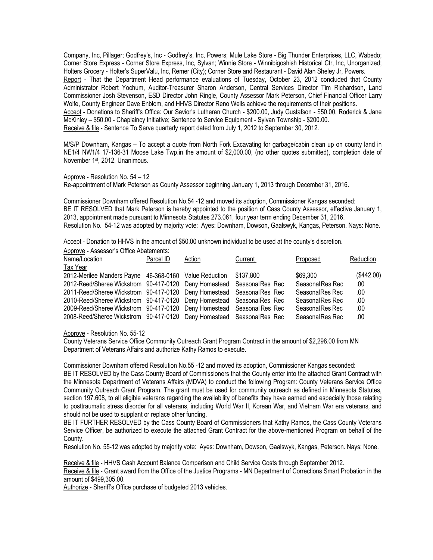Company, Inc, Pillager; Godfrey's, Inc - Godfrey's, Inc, Powers; Mule Lake Store - Big Thunder Enterprises, LLC, Wabedo; Corner Store Express - Corner Store Express, Inc, Sylvan; Winnie Store - Winnibigoshish Historical Ctr, Inc, Unorganized; Holters Grocery - Holter's SuperValu, Inc, Remer (City); Corner Store and Restaurant - David Alan Sheley Jr, Powers. Report - That the Department Head performance evaluations of Tuesday, October 23, 2012 concluded that County Administrator Robert Yochum, Auditor-Treasurer Sharon Anderson, Central Services Director Tim Richardson, Land Commissioner Josh Stevenson, ESD Director John Ringle, County Assessor Mark Peterson, Chief Financial Officer Larry Wolfe, County Engineer Dave Enblom, and HHVS Director Reno Wells achieve the requirements of their positions. Accept - Donations to Sheriff's Office: Our Savior's Lutheran Church - \$200.00, Judy Gustafson - \$50.00, Roderick & Jane McKinley – \$50.00 - Chaplaincy Initiative; Sentence to Service Equipment - Sylvan Township - \$200.00. Receive & file - Sentence To Serve quarterly report dated from July 1, 2012 to September 30, 2012.

M/S/P Downham, Kangas – To accept a quote from North Fork Excavating for garbage/cabin clean up on county land in NE1/4 NW1/4 17-136-31 Moose Lake Twp.in the amount of \$2,000.00, (no other quotes submitted), completion date of November 1st, 2012. Unanimous.

Approve - Resolution No. 54 – 12

Re-appointment of Mark Peterson as County Assessor beginning January 1, 2013 through December 31, 2016.

Commissioner Downham offered Resolution No.54 -12 and moved its adoption, Commissioner Kangas seconded: BE IT RESOLVED that Mark Peterson is hereby appointed to the position of Cass County Assessor, effective January 1, 2013, appointment made pursuant to Minnesota Statutes 273.061, four year term ending December 31, 2016. Resolution No. 54-12 was adopted by majority vote: Ayes: Downham, Dowson, Gaalswyk, Kangas, Peterson. Nays: None.

Accept - Donation to HHVS in the amount of \$50.00 unknown individual to be used at the county's discretion.

| Approve - Assessor's Office Abatements:                                |           |        |           |                  |            |
|------------------------------------------------------------------------|-----------|--------|-----------|------------------|------------|
| Name/Location                                                          | Parcel ID | Action | Current   | Proposed         | Reduction  |
| Tax Year                                                               |           |        |           |                  |            |
| 2012-Merilee Manders Payne 46-368-0160 Value Reduction                 |           |        | \$137.800 | \$69,300         | (\$442.00) |
| 2012-Reed/Sheree Wickstrom 90-417-0120 Deny Homestead Seasonal Res Rec |           |        |           | Seasonal Res Rec | .00.       |
| 2011-Reed/Sheree Wickstrom 90-417-0120 Deny Homestead Seasonal Res Rec |           |        |           | SeasonalRes Rec  | .00.       |
| 2010-Reed/Sheree Wickstrom 90-417-0120 Deny Homestead SeasonalRes Rec  |           |        |           | Seasonal Res Rec | .00        |
| 2009-Reed/Sheree Wickstrom 90-417-0120 Deny Homestead Seasonal Res Rec |           |        |           | Seasonal Res Rec | .00        |
| 2008-Reed/Sheree Wickstrom 90-417-0120 Deny Homestead Seasonal Res Rec |           |        |           | Seasonal Res Rec | .00        |

## Approve - Resolution No. 55-12

County Veterans Service Office Community Outreach Grant Program Contract in the amount of \$2,298.00 from MN Department of Veterans Affairs and authorize Kathy Ramos to execute.

Commissioner Downham offered Resolution No.55 -12 and moved its adoption, Commissioner Kangas seconded: BE IT RESOLVED by the Cass County Board of Commissioners that the County enter into the attached Grant Contract with the Minnesota Department of Veterans Affairs (MDVA) to conduct the following Program: County Veterans Service Office Community Outreach Grant Program. The grant must be used for community outreach as defined in Minnesota Statutes, section 197.608, to all eligible veterans regarding the availability of benefits they have earned and especially those relating to posttraumatic stress disorder for all veterans, including World War II, Korean War, and Vietnam War era veterans, and should not be used to supplant or replace other funding.

BE IT FURTHER RESOLVED by the Cass County Board of Commissioners that Kathy Ramos, the Cass County Veterans Service Officer, be authorized to execute the attached Grant Contract for the above-mentioned Program on behalf of the County.

Resolution No. 55-12 was adopted by majority vote: Ayes: Downham, Dowson, Gaalswyk, Kangas, Peterson. Nays: None.

Receive & file - HHVS Cash Account Balance Comparison and Child Service Costs through September 2012.

Receive & file - Grant award from the Office of the Justice Programs - MN Department of Corrections Smart Probation in the amount of \$499,305.00.

Authorize - Sheriff's Office purchase of budgeted 2013 vehicles.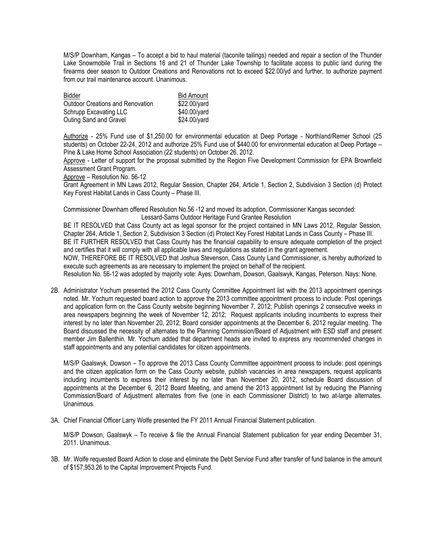M/S/P Downham, Kangas – To accept a bid to haul material (taconite tailings) needed and repair a section of the Thunder Lake Snowmobile Trail in Sections 16 and 21 of Thunder Lake Township to facilitate access to public land during the firearms deer season to Outdoor Creations and Renovations not to exceed \$22.00/yd and further, to authorize payment from our trail maintenance account. Unanimous.

| Bidder                                  | <b>Bid Amount</b> |
|-----------------------------------------|-------------------|
| <b>Outdoor Creations and Renovation</b> | \$22.00/yard      |
| Schrupp Excavating LLC                  | \$40.00/yard      |
| Outing Sand and Gravel                  | \$24.00/yard      |

Authorize - 25% Fund use of \$1,250.00 for environmental education at Deep Portage - Northland/Remer School (25 students) on October 22-24, 2012 and authorize 25% Fund use of \$440.00 for environmental education at Deep Portage – Pine & Lake Home School Association (22 students) on October 26, 2012.

Approve - Letter of support for the proposal submitted by the Region Five Development Commission for EPA Brownfield Assessment Grant Program.

Approve – Resolution No. 56-12

Grant Agreement in MN Laws 2012, Regular Session, Chapter 264, Article 1, Section 2, Subdivision 3 Section (d) Protect Key Forest Habitat Lands in Cass County – Phase III.

Commissioner Downham offered Resolution No.56 -12 and moved its adoption, Commissioner Kangas seconded: Lessard-Sams Outdoor Heritage Fund Grantee Resolution

BE IT RESOLVED that Cass County act as legal sponsor for the project contained in MN Laws 2012, Regular Session, Chapter 264, Article 1, Section 2, Subdivision 3 Section (d) Protect Key Forest Habitat Lands in Cass County – Phase III. BE IT FURTHER RESOLVED that Cass County has the financial capability to ensure adequate completion of the project and certifies that it will comply with all applicable laws and regulations as stated in the grant agreement. NOW, THEREFORE BE IT RESOLVED that Joshua Stevenson, Cass County Land Commissioner, is hereby authorized to execute such agreements as are necessary to implement the project on behalf of the recipient. Resolution No. 56-12 was adopted by majority vote: Ayes: Downham, Dowson, Gaalswyk, Kangas, Peterson. Nays: None.

2B. Administrator Yochum presented the 2012 Cass County Committee Appointment list with the 2013 appointment openings noted. Mr. Yochum requested board action to approve the 2013 committee appointment process to include: Post openings and application form on the Cass County website beginning November 7, 2012; Publish openings 2 consecutive weeks in area newspapers beginning the week of November 12, 2012; Request applicants including incumbents to express their interest by no later than November 20, 2012; Board consider appointments at the December 6, 2012 regular meeting. The Board discussed the necessity of alternates to the Planning Commission/Board of Adjustment with ESD staff and present member Jim Ballenthin. Mr. Yochum added that department heads are invited to express any recommended changes in staff appointments and any potential candidates for citizen appointments.

M/S/P Gaalswyk, Dowson – To approve the 2013 Cass County Committee appointment process to include: post openings and the citizen application form on the Cass County website, publish vacancies in area newspapers, request applicants including incumbents to express their interest by no later than November 20, 2012, schedule Board discussion of appointments at the December 6, 2012 Board Meeting, and amend the 2013 appointment list by reducing the Planning Commission/Board of Adjustment alternates from five (one in each Commissioner District) to two at-large alternates. Unanimous.

3A. Chief Financial Officer Larry Wolfe presented the FY 2011 Annual Financial Statement publication.

M/S/P Dowson, Gaalswyk – To receive & file the Annual Financial Statement publication for year ending December 31, 2011. Unanimous.

3B. Mr. Wolfe requested Board Action to close and eliminate the Debt Service Fund after transfer of fund balance in the amount of \$157,953.26 to the Capital Improvement Projects Fund.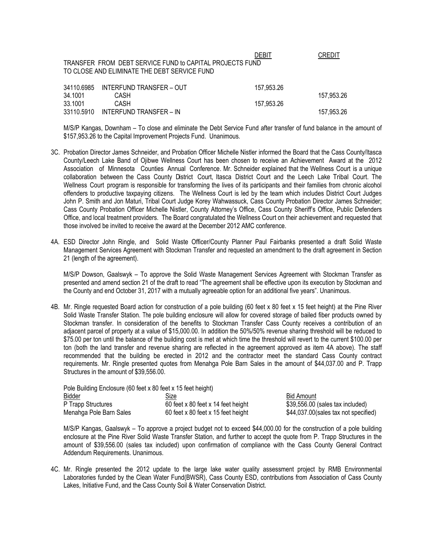|                    | TRANSFER FROM DEBT SERVICE FUND to CAPITAL PROJECTS FUND<br>TO CLOSE AND ELIMINATE THE DEBT SERVICE FUND | DEBIT      | CREDIT     |
|--------------------|----------------------------------------------------------------------------------------------------------|------------|------------|
| 34110.6985         | INTERFUND TRANSFER - OUT                                                                                 | 157,953.26 |            |
| 34.1001<br>33.1001 | CASH<br>CASH                                                                                             | 157,953.26 | 157,953.26 |
| 33110.5910         | INTERFUND TRANSFER - IN                                                                                  |            | 157,953.26 |

M/S/P Kangas, Downham – To close and eliminate the Debt Service Fund after transfer of fund balance in the amount of \$157,953.26 to the Capital Improvement Projects Fund. Unanimous.

- 3C. Probation Director James Schneider, and Probation Officer Michelle Nistler informed the Board that the Cass County/Itasca County/Leech Lake Band of Ojibwe Wellness Court has been chosen to receive an Achievement Award at the 2012 Association of Minnesota Counties Annual Conference. Mr. Schneider explained that the Wellness Court is a unique collaboration between the Cass County District Court, Itasca District Court and the Leech Lake Tribal Court. The Wellness Court program is responsible for transforming the lives of its participants and their families from chronic alcohol offenders to productive taxpaying citizens. The Wellness Court is led by the team which includes District Court Judges John P. Smith and Jon Maturi, Tribal Court Judge Korey Wahwassuck, Cass County Probation Director James Schneider; Cass County Probation Officer Michelle Nistler, County Attorney's Office, Cass County Sheriff's Office, Public Defenders Office, and local treatment providers. The Board congratulated the Wellness Court on their achievement and requested that those involved be invited to receive the award at the December 2012 AMC conference.
- 4A. ESD Director John Ringle, and Solid Waste Officer/County Planner Paul Fairbanks presented a draft Solid Waste Management Services Agreement with Stockman Transfer and requested an amendment to the draft agreement in Section 21 (length of the agreement).

M/S/P Dowson, Gaalswyk – To approve the Solid Waste Management Services Agreement with Stockman Transfer as presented and amend section 21 of the draft to read "The agreement shall be effective upon its execution by Stockman and the County and end October 31, 2017 with a mutually agreeable option for an additional five years". Unanimous.

4B. Mr. Ringle requested Board action for construction of a pole building (60 feet x 80 feet x 15 feet height) at the Pine River Solid Waste Transfer Station. The pole building enclosure will allow for covered storage of bailed fiber products owned by Stockman transfer. In consideration of the benefits to Stockman Transfer Cass County receives a contribution of an adjacent parcel of property at a value of \$15,000.00. In addition the 50%/50% revenue sharing threshold will be reduced to \$75.00 per ton until the balance of the building cost is met at which time the threshold will revert to the current \$100.00 per ton (both the land transfer and revenue sharing are reflected in the agreement approved as item 4A above). The staff recommended that the building be erected in 2012 and the contractor meet the standard Cass County contract requirements. Mr. Ringle presented quotes from Menahga Pole Barn Sales in the amount of \$44,037.00 and P. Trapp Structures in the amount of \$39,556.00.

| Pole Building Enclosure (60 feet x 80 feet x 15 feet height) |                                    |                                       |
|--------------------------------------------------------------|------------------------------------|---------------------------------------|
| <b>Bidder</b>                                                | Size                               | <b>Bid Amount</b>                     |
| P Trapp Structures                                           | 60 feet x 80 feet x 14 feet height | \$39,556.00 (sales tax included)      |
| Menahga Pole Barn Sales                                      | 60 feet x 80 feet x 15 feet height | \$44,037.00 (sales tax not specified) |

M/S/P Kangas, Gaalswyk – To approve a project budget not to exceed \$44,000.00 for the construction of a pole building enclosure at the Pine River Solid Waste Transfer Station, and further to accept the quote from P. Trapp Structures in the amount of \$39,556.00 (sales tax included) upon confirmation of compliance with the Cass County General Contract Addendum Requirements. Unanimous.

4C. Mr. Ringle presented the 2012 update to the large lake water quality assessment project by RMB Environmental Laboratories funded by the Clean Water Fund(BWSR), Cass County ESD, contributions from Association of Cass County Lakes, Initiative Fund, and the Cass County Soil & Water Conservation District.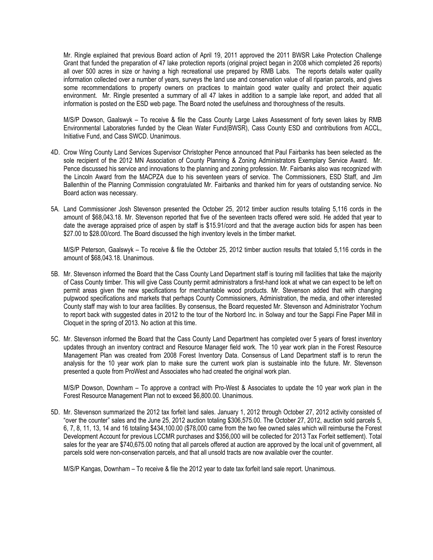Mr. Ringle explained that previous Board action of April 19, 2011 approved the 2011 BWSR Lake Protection Challenge Grant that funded the preparation of 47 lake protection reports (original project began in 2008 which completed 26 reports) all over 500 acres in size or having a high recreational use prepared by RMB Labs. The reports details water quality information collected over a number of years, surveys the land use and conservation value of all riparian parcels, and gives some recommendations to property owners on practices to maintain good water quality and protect their aquatic environment. Mr. Ringle presented a summary of all 47 lakes in addition to a sample lake report, and added that all information is posted on the ESD web page. The Board noted the usefulness and thoroughness of the results.

M/S/P Dowson, Gaalswyk – To receive & file the Cass County Large Lakes Assessment of forty seven lakes by RMB Environmental Laboratories funded by the Clean Water Fund(BWSR), Cass County ESD and contributions from ACCL, Initiative Fund, and Cass SWCD. Unanimous.

- 4D. Crow Wing County Land Services Supervisor Christopher Pence announced that Paul Fairbanks has been selected as the sole recipient of the 2012 MN Association of County Planning & Zoning Administrators Exemplary Service Award. Mr. Pence discussed his service and innovations to the planning and zoning profession. Mr. Fairbanks also was recognized with the Lincoln Award from the MACPZA due to his seventeen years of service. The Commissioners, ESD Staff, and Jim Ballenthin of the Planning Commission congratulated Mr. Fairbanks and thanked him for years of outstanding service. No Board action was necessary.
- 5A. Land Commissioner Josh Stevenson presented the October 25, 2012 timber auction results totaling 5,116 cords in the amount of \$68,043.18. Mr. Stevenson reported that five of the seventeen tracts offered were sold. He added that year to date the average appraised price of aspen by staff is \$15.91/cord and that the average auction bids for aspen has been \$27.00 to \$28.00/cord. The Board discussed the high inventory levels in the timber market.

M/S/P Peterson, Gaalswyk – To receive & file the October 25, 2012 timber auction results that totaled 5,116 cords in the amount of \$68,043.18. Unanimous.

- 5B. Mr. Stevenson informed the Board that the Cass County Land Department staff is touring mill facilities that take the majority of Cass County timber. This will give Cass County permit administrators a first-hand look at what we can expect to be left on permit areas given the new specifications for merchantable wood products. Mr. Stevenson added that with changing pulpwood specifications and markets that perhaps County Commissioners, Administration, the media, and other interested County staff may wish to tour area facilities. By consensus, the Board requested Mr. Stevenson and Administrator Yochum to report back with suggested dates in 2012 to the tour of the Norbord Inc. in Solway and tour the Sappi Fine Paper Mill in Cloquet in the spring of 2013. No action at this time.
- 5C. Mr. Stevenson informed the Board that the Cass County Land Department has completed over 5 years of forest inventory updates through an inventory contract and Resource Manager field work. The 10 year work plan in the Forest Resource Management Plan was created from 2008 Forest Inventory Data. Consensus of Land Department staff is to rerun the analysis for the 10 year work plan to make sure the current work plan is sustainable into the future. Mr. Stevenson presented a quote from ProWest and Associates who had created the original work plan.

M/S/P Dowson, Downham – To approve a contract with Pro-West & Associates to update the 10 year work plan in the Forest Resource Management Plan not to exceed \$6,800.00. Unanimous.

5D. Mr. Stevenson summarized the 2012 tax forfeit land sales. January 1, 2012 through October 27, 2012 activity consisted of "over the counter" sales and the June 25, 2012 auction totaling \$306,575.00. The October 27, 2012, auction sold parcels 5, 6, 7, 8, 11, 13, 14 and 16 totaling \$434,100.00 (\$78,000 came from the two fee owned sales which will reimburse the Forest Development Account for previous LCCMR purchases and \$356,000 will be collected for 2013 Tax Forfeit settlement). Total sales for the year are \$740,675.00 noting that all parcels offered at auction are approved by the local unit of government, all parcels sold were non-conservation parcels, and that all unsold tracts are now available over the counter.

M/S/P Kangas, Downham – To receive & file the 2012 year to date tax forfeit land sale report. Unanimous.